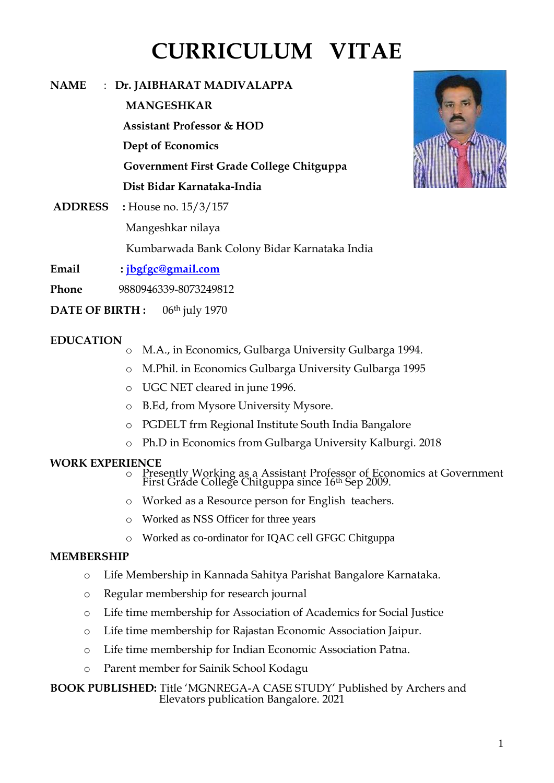# **CURRICULUM VITAE**

| <b>NAME</b>    | $\therefore$ Dr. JAIBHARAT MADIVALAPPA       |
|----------------|----------------------------------------------|
|                | <b>MANGESHKAR</b>                            |
|                | <b>Assistant Professor &amp; HOD</b>         |
|                | Dept of Economics                            |
|                | Government First Grade College Chitguppa     |
|                | Dist Bidar Karnataka-India                   |
| <b>ADDRESS</b> | : House no. $15/3/157$                       |
|                | Mangeshkar nilaya                            |
|                | Kumbarwada Bank Colony Bidar Karnataka India |



- **Email : [jbgfgc@gmail.com](mailto:jbgfgc@gmail.com)**
- **Phone** 9880946339-8073249812
- **DATE OF BIRTH :** 06th july 1970

### **EDUCATION**

- o M.A., in Economics, Gulbarga University Gulbarga 1994.
- o M.Phil. in Economics Gulbarga University Gulbarga 1995
- o UGC NET cleared in june 1996.
- o B.Ed, from Mysore University Mysore.
- o PGDELT frm Regional Institute South India Bangalore
- o Ph.D in Economics from Gulbarga University Kalburgi. 2018

#### **WORK EXPERIENCE**

- o Presently Working as a Assistant Professor of Economics at Government First Grade College Chitguppa since 16th Sep 2009.
- o Worked as a Resource person for English teachers.
- o Worked as NSS Officer for three years
- o Worked as co-ordinator for IQAC cell GFGC Chitguppa

## **MEMBERSHIP**

- o Life Membership in Kannada Sahitya Parishat Bangalore Karnataka.
- o Regular membership for research journal
- o Life time membership for Association of Academics for Social Justice
- o Life time membership for Rajastan Economic Association Jaipur.
- o Life time membership for Indian Economic Association Patna.
- o Parent member for Sainik School Kodagu

#### **BOOK PUBLISHED:** Title 'MGNREGA-A CASE STUDY' Published by Archers and Elevators publication Bangalore. 2021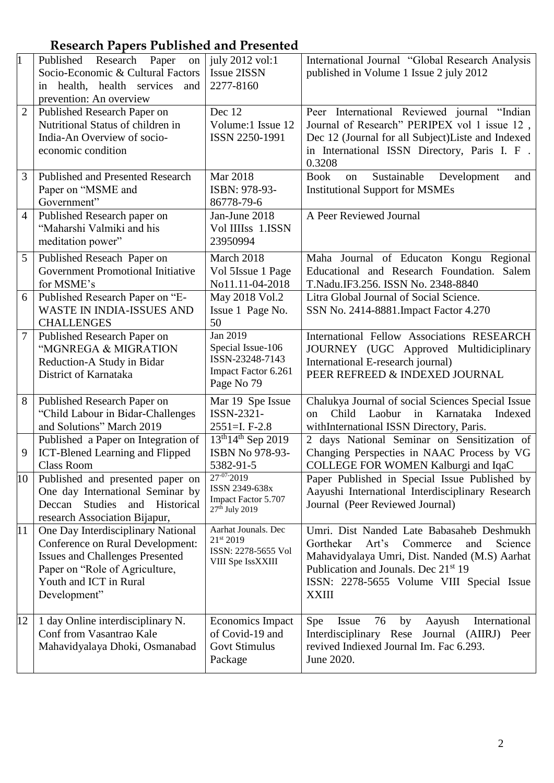# **Research Papers Published and Presented**

| $\overline{1}$  | Published Research Paper<br>on<br>Socio-Economic & Cultural Factors<br>in health, health services<br>and                                                                                     | july 2012 vol:1<br><b>Issue 2ISSN</b><br>2277-8160                                      | International Journal "Global Research Analysis<br>published in Volume 1 Issue 2 july 2012                                                                                                                                                                      |
|-----------------|----------------------------------------------------------------------------------------------------------------------------------------------------------------------------------------------|-----------------------------------------------------------------------------------------|-----------------------------------------------------------------------------------------------------------------------------------------------------------------------------------------------------------------------------------------------------------------|
| $\overline{2}$  | prevention: An overview<br>Published Research Paper on<br>Nutritional Status of children in<br>India-An Overview of socio-<br>economic condition                                             | Dec 12<br>Volume:1 Issue 12<br>ISSN 2250-1991                                           | Peer International Reviewed journal "Indian<br>Journal of Research" PERIPEX vol 1 issue 12,<br>Dec 12 (Journal for all Subject) Liste and Indexed<br>in International ISSN Directory, Paris I. F.<br>0.3208                                                     |
| 3               | Published and Presented Research<br>Paper on "MSME and<br>Government"                                                                                                                        | <b>Mar 2018</b><br>ISBN: 978-93-<br>86778-79-6                                          | Sustainable<br><b>Book</b><br>Development<br>on<br>and<br><b>Institutional Support for MSMEs</b>                                                                                                                                                                |
| $\overline{4}$  | Published Research paper on<br>"Maharshi Valmiki and his<br>meditation power"                                                                                                                | Jan-June 2018<br>Vol IIIIss 1.ISSN<br>23950994                                          | A Peer Reviewed Journal                                                                                                                                                                                                                                         |
| 5               | Published Reseach Paper on<br>Government Promotional Initiative<br>for MSME's                                                                                                                | March 2018<br>Vol 5Issue 1 Page<br>No11.11-04-2018                                      | Maha Journal of Educaton Kongu Regional<br>Educational and Research Foundation. Salem<br>T.Nadu.IF3.256. ISSN No. 2348-8840                                                                                                                                     |
| 6               | Published Research Paper on "E-<br><b>WASTE IN INDIA-ISSUES AND</b><br><b>CHALLENGES</b>                                                                                                     | May 2018 Vol.2<br>Issue 1 Page No.<br>50                                                | Litra Global Journal of Social Science.<br>SSN No. 2414-8881. Impact Factor 4.270                                                                                                                                                                               |
| $\overline{7}$  | Published Research Paper on<br>"MGNREGA & MIGRATION<br>Reduction-A Study in Bidar<br>District of Karnataka                                                                                   | Jan 2019<br>Special Issue-106<br>ISSN-23248-7143<br>Impact Factor 6.261<br>Page No 79   | International Fellow Associations RESEARCH<br>JOURNEY (UGC Approved Multidiciplinary<br>International E-research journal)<br>PEER REFREED & INDEXED JOURNAL                                                                                                     |
| 8               | Published Research Paper on<br>"Child Labour in Bidar-Challenges<br>and Solutions" March 2019                                                                                                | Mar 19 Spe Issue<br>ISSN-2321-<br>$2551 = I. F-2.8$                                     | Chalukya Journal of social Sciences Special Issue<br>Child Laobur<br>in<br>Karnataka<br>Indexed<br>on<br>withInternational ISSN Directory, Paris.                                                                                                               |
| 9               | Published a Paper on Integration of<br>ICT-Blened Learning and Flipped<br>Class Room                                                                                                         | $13^{th}14^{th}$ Sep 2019<br>ISBN No 978-93-<br>5382-91-5                               | 2 days National Seminar on Sensitization of<br>Changing Perspecties in NAAC Process by VG<br>COLLEGE FOR WOMEN Kalburgi and IqaC                                                                                                                                |
| $\overline{10}$ | Published and presented paper on<br>One day International Seminar by<br>Deccan<br>Studies<br>and Historical<br>research Association Bijapur,                                                 | $27 - 07 - 2019$<br>ISSN 2349-638x<br>Impact Factor 5.707<br>27 <sup>th</sup> July 2019 | Paper Published in Special Issue Published by<br>Aayushi International Interdisciplinary Research<br>Journal (Peer Reviewed Journal)                                                                                                                            |
| 11              | One Day Interdisciplinary National<br>Conference on Rural Development:<br><b>Issues and Challenges Presented</b><br>Paper on "Role of Agriculture,<br>Youth and ICT in Rural<br>Development" | Aarhat Jounals. Dec<br>21st 2019<br>ISSN: 2278-5655 Vol<br>VIII Spe IssXXIII            | Umri. Dist Nanded Late Babasaheb Deshmukh<br>Gorthekar<br>Science<br>Art's<br>Commerce<br>and<br>Mahavidyalaya Umri, Dist. Nanded (M.S) Aarhat<br>Publication and Jounals. Dec 21 <sup>st</sup> 19<br>ISSN: 2278-5655 Volume VIII Special Issue<br><b>XXIII</b> |
| 12              | 1 day Online interdisciplinary N.<br>Conf from Vasantrao Kale<br>Mahavidyalaya Dhoki, Osmanabad                                                                                              | <b>Economics Impact</b><br>of Covid-19 and<br><b>Govt Stimulus</b><br>Package           | Spe<br>International<br>Issue<br>76<br>by<br>Aayush<br>Interdisciplinary Rese Journal (AIIRJ) Peer<br>revived Indiexed Journal Im. Fac 6.293.<br>June 2020.                                                                                                     |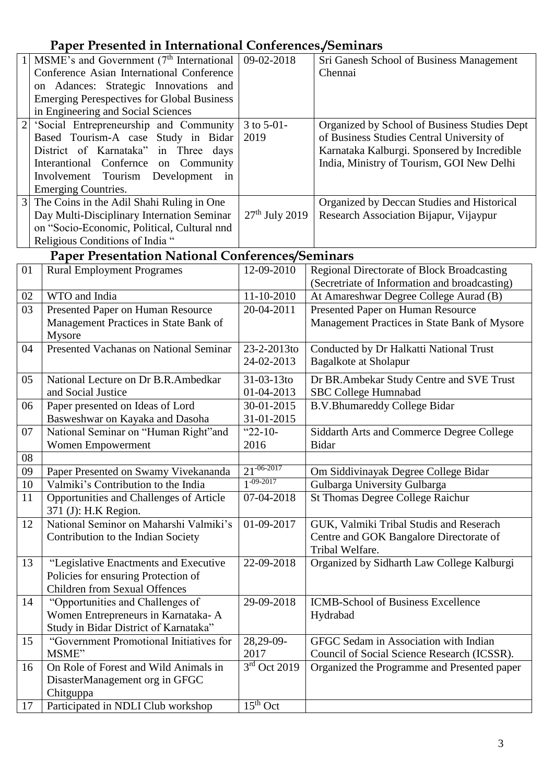# **Paper Presented in International Conferences./Seminars**

|                | MSME's and Government (7 <sup>th</sup> International            | 09-02-2018       | Sri Ganesh School of Business Management          |
|----------------|-----------------------------------------------------------------|------------------|---------------------------------------------------|
|                | Conference Asian International Conference                       |                  | Chennai                                           |
|                | on Adances: Strategic Innovations and                           |                  |                                                   |
|                | <b>Emerging Perespectives for Global Business</b>               |                  |                                                   |
|                | in Engineering and Social Sciences                              |                  |                                                   |
| $\overline{2}$ | 'Social Entrepreneurship and Community                          | 3 to 5-01-       | Organized by School of Business Studies Dept      |
|                | Based Tourism-A case Study in Bidar                             | 2019             | of Business Studies Central University of         |
|                | District of Karnataka" in Three days                            |                  | Karnataka Kalburgi. Sponsered by Incredible       |
|                | Interantional Confernce on Community                            |                  | India, Ministry of Tourism, GOI New Delhi         |
|                | Involvement<br>Tourism Development<br>in                        |                  |                                                   |
|                | <b>Emerging Countries.</b>                                      |                  |                                                   |
| $\overline{3}$ | The Coins in the Adil Shahi Ruling in One                       |                  | Organized by Deccan Studies and Historical        |
|                | Day Multi-Disciplinary Internation Seminar                      | $27th$ July 2019 | Research Association Bijapur, Vijaypur            |
|                | on "Socio-Economic, Political, Cultural nnd                     |                  |                                                   |
|                | Religious Conditions of India "                                 |                  |                                                   |
|                | <b>Paper Presentation National Conferences/Seminars</b>         |                  |                                                   |
| 01             | <b>Rural Employment Programes</b>                               | 12-09-2010       | <b>Regional Directorate of Block Broadcasting</b> |
|                |                                                                 |                  | (Secretriate of Information and broadcasting)     |
| 02             | WTO and India                                                   | $11 - 10 - 2010$ | At Amareshwar Degree College Aurad (B)            |
| 03             | Presented Paper on Human Resource                               | 20-04-2011       | Presented Paper on Human Resource                 |
|                | Management Practices in State Bank of                           |                  | Management Practices in State Bank of Mysore      |
|                | Mysore                                                          |                  |                                                   |
| 04             | Presented Vachanas on National Seminar                          | 23-2-2013to      | Conducted by Dr Halkatti National Trust           |
|                |                                                                 | 24-02-2013       | Bagalkote at Sholapur                             |
|                |                                                                 |                  |                                                   |
| 05             | National Lecture on Dr B.R.Ambedkar                             | 31-03-13to       | Dr BR.Ambekar Study Centre and SVE Trust          |
|                | and Social Justice                                              | 01-04-2013       | SBC College Humnabad                              |
| 06             | Paper presented on Ideas of Lord                                | 30-01-2015       | <b>B.V.Bhumareddy College Bidar</b>               |
|                | Basweshwar on Kayaka and Dasoha                                 | 31-01-2015       |                                                   |
| 07             | National Seminar on "Human Right"and                            | " $22-10-$       | Siddarth Arts and Commerce Degree College         |
|                | Women Empowerment                                               | 2016             | <b>Bidar</b>                                      |
| 08             |                                                                 | $21^{-06-2017}$  |                                                   |
| 09             | Paper Presented on Swamy Vivekananda                            | $1 - 09 - 2017$  | Om Siddivinayak Degree College Bidar              |
| 10             | Valmiki's Contribution to the India                             |                  | Gulbarga University Gulbarga                      |
| 11             | Opportunities and Challenges of Article<br>371 (J): H.K Region. | 07-04-2018       | <b>St Thomas Degree College Raichur</b>           |
| 12             | National Seminor on Maharshi Valmiki's                          | 01-09-2017       | GUK, Valmiki Tribal Studis and Reserach           |
|                | Contribution to the Indian Society                              |                  | Centre and GOK Bangalore Directorate of           |
|                |                                                                 |                  | Tribal Welfare.                                   |
| 13             | "Legislative Enactments and Executive                           | 22-09-2018       | Organized by Sidharth Law College Kalburgi        |
|                | Policies for ensuring Protection of                             |                  |                                                   |
|                | <b>Children from Sexual Offences</b>                            |                  |                                                   |
| 14             | "Opportunities and Challenges of                                | 29-09-2018       | <b>ICMB-School of Business Excellence</b>         |
|                | Women Entrepreneurs in Karnataka-A                              |                  | Hydrabad                                          |
|                | Study in Bidar District of Karnataka"                           |                  |                                                   |
| 15             | "Government Promotional Initiatives for                         | 28,29-09-        | GFGC Sedam in Association with Indian             |
|                | MSME"                                                           | 2017             | Council of Social Science Research (ICSSR).       |
| 16             | On Role of Forest and Wild Animals in                           | $3rd$ Oct 2019   | Organized the Programme and Presented paper       |
|                | DisasterManagement org in GFGC                                  |                  |                                                   |
|                | Chitguppa                                                       |                  |                                                   |
| 17             | Participated in NDLI Club workshop                              | $15th$ Oct       |                                                   |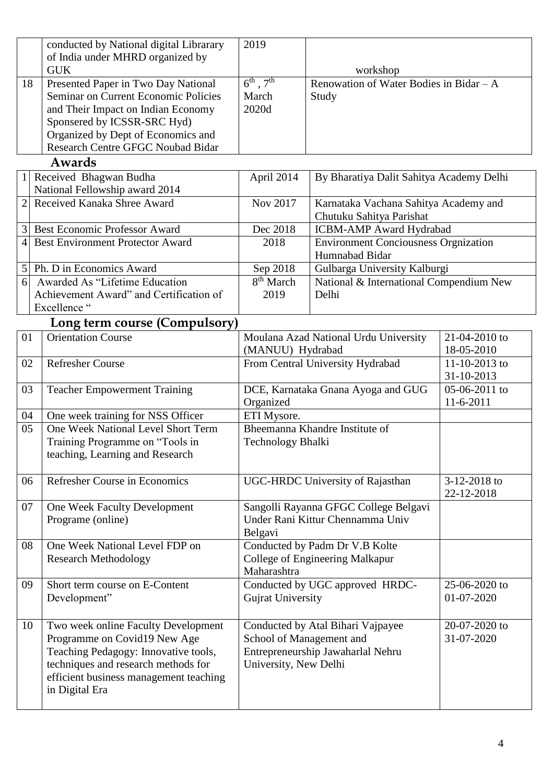|                                                                                                                                                                                                                                   | conducted by National digital Librarary<br>of India under MHRD organized by                                                                                                                                    | 2019                                                                                                                        |                                                                   |                             |
|-----------------------------------------------------------------------------------------------------------------------------------------------------------------------------------------------------------------------------------|----------------------------------------------------------------------------------------------------------------------------------------------------------------------------------------------------------------|-----------------------------------------------------------------------------------------------------------------------------|-------------------------------------------------------------------|-----------------------------|
|                                                                                                                                                                                                                                   | <b>GUK</b>                                                                                                                                                                                                     |                                                                                                                             | workshop                                                          |                             |
| Presented Paper in Two Day National<br>18<br>Seminar on Current Economic Policies<br>and Their Impact on Indian Economy<br>Sponsered by ICSSR-SRC Hyd)<br>Organized by Dept of Economics and<br>Research Centre GFGC Noubad Bidar |                                                                                                                                                                                                                | $6^{th}$ , $7^{th}$<br>March<br>2020d                                                                                       | Renowation of Water Bodies in Bidar $-A$<br>Study                 |                             |
|                                                                                                                                                                                                                                   | Awards                                                                                                                                                                                                         |                                                                                                                             |                                                                   |                             |
| 1                                                                                                                                                                                                                                 | Received Bhagwan Budha<br>National Fellowship award 2014                                                                                                                                                       | April 2014                                                                                                                  | By Bharatiya Dalit Sahitya Academy Delhi                          |                             |
| $\overline{2}$                                                                                                                                                                                                                    | Received Kanaka Shree Award                                                                                                                                                                                    | Nov 2017                                                                                                                    | Karnataka Vachana Sahitya Academy and<br>Chutuku Sahitya Parishat |                             |
| 3                                                                                                                                                                                                                                 | <b>Best Economic Professor Award</b>                                                                                                                                                                           | Dec 2018                                                                                                                    | <b>ICBM-AMP Award Hydrabad</b>                                    |                             |
| 4                                                                                                                                                                                                                                 | <b>Best Environment Protector Award</b>                                                                                                                                                                        | 2018                                                                                                                        | <b>Environment Conciousness Orgnization</b><br>Humnabad Bidar     |                             |
| 5                                                                                                                                                                                                                                 | Ph. D in Economics Award                                                                                                                                                                                       | Sep 2018                                                                                                                    | Gulbarga University Kalburgi                                      |                             |
| 6                                                                                                                                                                                                                                 | Awarded As "Lifetime Education<br>Achievement Award" and Certification of<br>Excellence "                                                                                                                      | 8 <sup>th</sup> March<br>2019                                                                                               | National & International Compendium New<br>Delhi                  |                             |
|                                                                                                                                                                                                                                   | Long term course (Compulsory)                                                                                                                                                                                  |                                                                                                                             |                                                                   |                             |
| 01                                                                                                                                                                                                                                | <b>Orientation Course</b>                                                                                                                                                                                      | (MANUU) Hydrabad                                                                                                            | Moulana Azad National Urdu University                             | 21-04-2010 to<br>18-05-2010 |
| 02                                                                                                                                                                                                                                | <b>Refresher Course</b>                                                                                                                                                                                        | From Central University Hydrabad                                                                                            |                                                                   | 11-10-2013 to<br>31-10-2013 |
| 03                                                                                                                                                                                                                                | <b>Teacher Empowerment Training</b>                                                                                                                                                                            | DCE, Karnataka Gnana Ayoga and GUG<br>Organized                                                                             |                                                                   | 05-06-2011 to<br>11-6-2011  |
| 04                                                                                                                                                                                                                                | One week training for NSS Officer                                                                                                                                                                              | ETI Mysore.                                                                                                                 |                                                                   |                             |
| 05                                                                                                                                                                                                                                | One Week National Level Short Term<br>Training Programme on "Tools in<br>teaching, Learning and Research                                                                                                       | Technology Bhalki                                                                                                           | Bheemanna Khandre Institute of                                    |                             |
| 06                                                                                                                                                                                                                                | Refresher Course in Economics                                                                                                                                                                                  | <b>UGC-HRDC University of Rajasthan</b>                                                                                     |                                                                   | 3-12-2018 to<br>22-12-2018  |
| 07                                                                                                                                                                                                                                | One Week Faculty Development<br>Programe (online)                                                                                                                                                              | Sangolli Rayanna GFGC College Belgavi<br>Under Rani Kittur Chennamma Univ<br>Belgavi                                        |                                                                   |                             |
| 08                                                                                                                                                                                                                                | One Week National Level FDP on<br><b>Research Methodology</b>                                                                                                                                                  | Conducted by Padm Dr V.B Kolte<br>College of Engineering Malkapur<br>Maharashtra                                            |                                                                   |                             |
| 09                                                                                                                                                                                                                                | Short term course on E-Content<br>Development"                                                                                                                                                                 | Conducted by UGC approved HRDC-<br><b>Gujrat University</b>                                                                 |                                                                   | 25-06-2020 to<br>01-07-2020 |
| 10                                                                                                                                                                                                                                | Two week online Faculty Development<br>Programme on Covid19 New Age<br>Teaching Pedagogy: Innovative tools,<br>techniques and research methods for<br>efficient business management teaching<br>in Digital Era | Conducted by Atal Bihari Vajpayee<br>School of Management and<br>Entrepreneurship Jawaharlal Nehru<br>University, New Delhi |                                                                   | 20-07-2020 to<br>31-07-2020 |